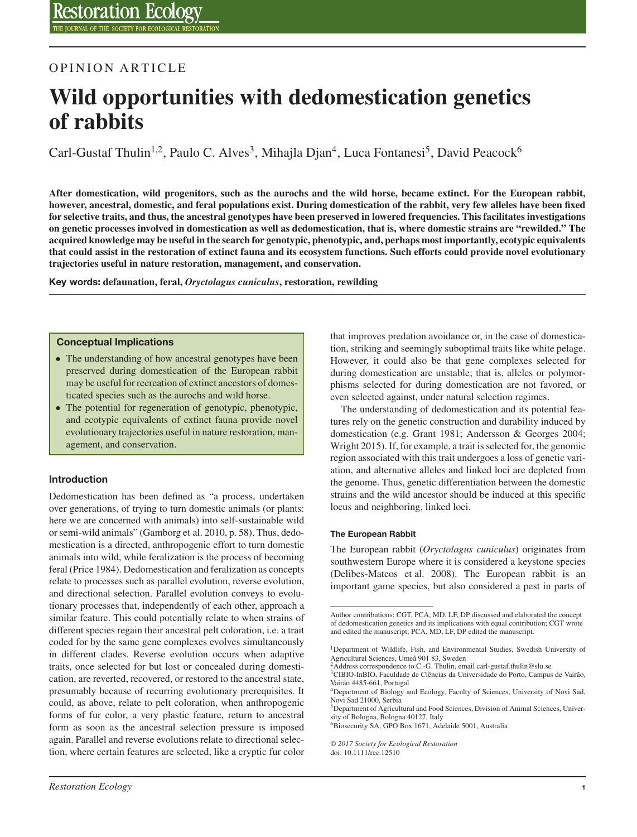## OPINION ARTICLE

# **Wild opportunities with dedomestication genetics of rabbits**

Carl-Gustaf Thulin<sup>1,2</sup>, Paulo C. Alves<sup>3</sup>, Mihajla Djan<sup>4</sup>, Luca Fontanesi<sup>5</sup>, David Peacock<sup>6</sup>

**After domestication, wild progenitors, such as the aurochs and the wild horse, became extinct. For the European rabbit, however, ancestral, domestic, and feral populations exist. During domestication of the rabbit, very few alleles have been fixed for selective traits, and thus, the ancestral genotypes have been preserved in lowered frequencies. This facilitates investigations on genetic processes involved in domestication as well as dedomestication, that is, where domestic strains are "rewilded." The acquired knowledge may be useful in the search for genotypic, phenotypic, and, perhaps most importantly, ecotypic equivalents that could assist in the restoration of extinct fauna and its ecosystem functions. Such efforts could provide novel evolutionary trajectories useful in nature restoration, management, and conservation.**

**Key words: defaunation, feral,** *Oryctolagus cuniculus***, restoration, rewilding**

#### **Conceptual Implications**

- The understanding of how ancestral genotypes have been preserved during domestication of the European rabbit may be useful for recreation of extinct ancestors of domesticated species such as the aurochs and wild horse.
- The potential for regeneration of genotypic, phenotypic, and ecotypic equivalents of extinct fauna provide novel evolutionary trajectories useful in nature restoration, management, and conservation.

#### **Introduction**

Dedomestication has been defined as "a process, undertaken over generations, of trying to turn domestic animals (or plants: here we are concerned with animals) into self-sustainable wild or semi-wild animals" (Gamborg et al. 2010, p. 58). Thus, dedomestication is a directed, anthropogenic effort to turn domestic animals into wild, while feralization is the process of becoming feral (Price 1984). Dedomestication and feralization as concepts relate to processes such as parallel evolution, reverse evolution, and directional selection. Parallel evolution conveys to evolutionary processes that, independently of each other, approach a similar feature. This could potentially relate to when strains of different species regain their ancestral pelt coloration, i.e. a trait coded for by the same gene complexes evolves simultaneously in different clades. Reverse evolution occurs when adaptive traits, once selected for but lost or concealed during domestication, are reverted, recovered, or restored to the ancestral state, presumably because of recurring evolutionary prerequisites. It could, as above, relate to pelt coloration, when anthropogenic forms of fur color, a very plastic feature, return to ancestral form as soon as the ancestral selection pressure is imposed again. Parallel and reverse evolutions relate to directional selection, where certain features are selected, like a cryptic fur color

that improves predation avoidance or, in the case of domestication, striking and seemingly suboptimal traits like white pelage. However, it could also be that gene complexes selected for during domestication are unstable; that is, alleles or polymorphisms selected for during domestication are not favored, or even selected against, under natural selection regimes.

The understanding of dedomestication and its potential features rely on the genetic construction and durability induced by domestication (e.g. Grant 1981; Andersson & Georges 2004; Wright 2015). If, for example, a trait is selected for, the genomic region associated with this trait undergoes a loss of genetic variation, and alternative alleles and linked loci are depleted from the genome. Thus, genetic differentiation between the domestic strains and the wild ancestor should be induced at this specific locus and neighboring, linked loci.

#### **The European Rabbit**

The European rabbit (*Oryctolagus cuniculus*) originates from southwestern Europe where it is considered a keystone species (Delibes-Mateos et al. 2008). The European rabbit is an important game species, but also considered a pest in parts of

*© 2017 Society for Ecological Restoration* doi: 10.1111/rec.12510

Author contributions: CGT, PCA, MD, LF, DP discussed and elaborated the concept of dedomestication genetics and its implications with equal contribution; CGT wrote and edited the manuscript; PCA, MD, LF, DP edited the manuscript.

<sup>1</sup>Department of Wildlife, Fish, and Environmental Studies, Swedish University of Agricultural Sciences, Umeå 901 83, Sweden

<sup>&</sup>lt;sup>2</sup>Address correspondence to C.-G. Thulin, email carl-gustaf.thulin@slu.se

<sup>3</sup>CIBIO-InBIO, Faculdade de Ciências da Universidade do Porto, Campus de Vairão, Vairão 4485-661, Portugal <sup>4</sup>Department of Biology and Ecology, Faculty of Sciences, University of Novi Sad,

Novi Sad 21000, Serbia

<sup>5</sup>Department of Agricultural and Food Sciences, Division of Animal Sciences, University of Bologna, Bologna 40127, Italy

<sup>6</sup>Biosecurity SA, GPO Box 1671, Adelaide 5001, Australia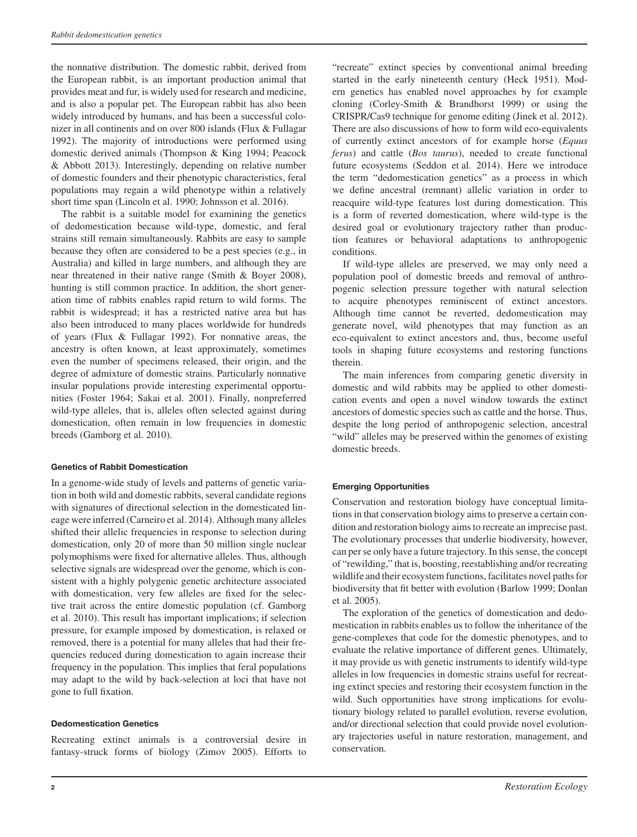the nonnative distribution. The domestic rabbit, derived from the European rabbit, is an important production animal that provides meat and fur, is widely used for research and medicine, and is also a popular pet. The European rabbit has also been widely introduced by humans, and has been a successful colonizer in all continents and on over 800 islands (Flux & Fullagar 1992). The majority of introductions were performed using domestic derived animals (Thompson & King 1994; Peacock & Abbott 2013). Interestingly, depending on relative number of domestic founders and their phenotypic characteristics, feral populations may regain a wild phenotype within a relatively short time span (Lincoln et al. 1990; Johnsson et al. 2016).

The rabbit is a suitable model for examining the genetics of dedomestication because wild-type, domestic, and feral strains still remain simultaneously. Rabbits are easy to sample because they often are considered to be a pest species (e.g., in Australia) and killed in large numbers, and although they are near threatened in their native range (Smith & Boyer 2008), hunting is still common practice. In addition, the short generation time of rabbits enables rapid return to wild forms. The rabbit is widespread; it has a restricted native area but has also been introduced to many places worldwide for hundreds of years (Flux & Fullagar 1992). For nonnative areas, the ancestry is often known, at least approximately, sometimes even the number of specimens released, their origin, and the degree of admixture of domestic strains. Particularly nonnative insular populations provide interesting experimental opportunities (Foster 1964; Sakai et al. 2001). Finally, nonpreferred wild-type alleles, that is, alleles often selected against during domestication, often remain in low frequencies in domestic breeds (Gamborg et al. 2010).

#### **Genetics of Rabbit Domestication**

In a genome-wide study of levels and patterns of genetic variation in both wild and domestic rabbits, several candidate regions with signatures of directional selection in the domesticated lineage were inferred (Carneiro et al. 2014). Although many alleles shifted their allelic frequencies in response to selection during domestication, only 20 of more than 50 million single nuclear polymophisms were fixed for alternative alleles. Thus, although selective signals are widespread over the genome, which is consistent with a highly polygenic genetic architecture associated with domestication, very few alleles are fixed for the selective trait across the entire domestic population (cf. Gamborg et al. 2010). This result has important implications; if selection pressure, for example imposed by domestication, is relaxed or removed, there is a potential for many alleles that had their frequencies reduced during domestication to again increase their frequency in the population. This implies that feral populations may adapt to the wild by back-selection at loci that have not gone to full fixation.

#### **Dedomestication Genetics**

Recreating extinct animals is a controversial desire in fantasy-struck forms of biology (Zimov 2005). Efforts to

"recreate" extinct species by conventional animal breeding started in the early nineteenth century (Heck 1951). Modern genetics has enabled novel approaches by for example cloning (Corley-Smith & Brandhorst 1999) or using the CRISPR/Cas9 technique for genome editing (Jinek et al. 2012). There are also discussions of how to form wild eco-equivalents of currently extinct ancestors of for example horse (*Equus ferus*) and cattle (*Bos taurus*), needed to create functional future ecosystems (Seddon et al. 2014). Here we introduce the term "dedomestication genetics" as a process in which we define ancestral (remnant) allelic variation in order to reacquire wild-type features lost during domestication. This is a form of reverted domestication, where wild-type is the desired goal or evolutionary trajectory rather than production features or behavioral adaptations to anthropogenic conditions.

If wild-type alleles are preserved, we may only need a population pool of domestic breeds and removal of anthropogenic selection pressure together with natural selection to acquire phenotypes reminiscent of extinct ancestors. Although time cannot be reverted, dedomestication may generate novel, wild phenotypes that may function as an eco-equivalent to extinct ancestors and, thus, become useful tools in shaping future ecosystems and restoring functions therein.

The main inferences from comparing genetic diversity in domestic and wild rabbits may be applied to other domestication events and open a novel window towards the extinct ancestors of domestic species such as cattle and the horse. Thus, despite the long period of anthropogenic selection, ancestral "wild" alleles may be preserved within the genomes of existing domestic breeds.

### **Emerging Opportunities**

Conservation and restoration biology have conceptual limitations in that conservation biology aims to preserve a certain condition and restoration biology aims to recreate an imprecise past. The evolutionary processes that underlie biodiversity, however, can per se only have a future trajectory. In this sense, the concept of "rewilding," that is, boosting, reestablishing and/or recreating wildlife and their ecosystem functions, facilitates novel paths for biodiversity that fit better with evolution (Barlow 1999; Donlan et al. 2005).

The exploration of the genetics of domestication and dedomestication in rabbits enables us to follow the inheritance of the gene-complexes that code for the domestic phenotypes, and to evaluate the relative importance of different genes. Ultimately, it may provide us with genetic instruments to identify wild-type alleles in low frequencies in domestic strains useful for recreating extinct species and restoring their ecosystem function in the wild. Such opportunities have strong implications for evolutionary biology related to parallel evolution, reverse evolution, and/or directional selection that could provide novel evolutionary trajectories useful in nature restoration, management, and conservation.